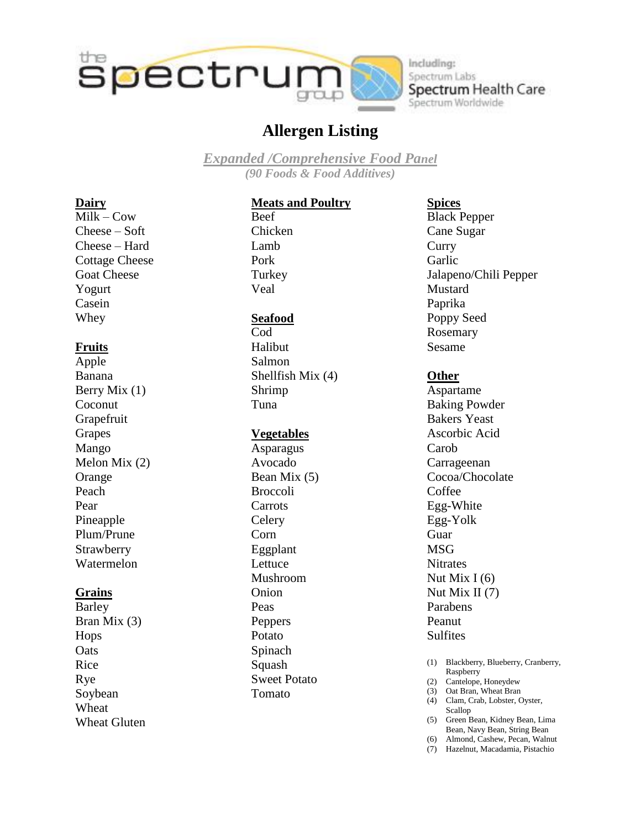

Including: Spectrum Labs Spectrum Health Care Spectrum Worldwide

## **Allergen Listing**

*Expanded /Comprehensive Food Panel (90 Foods & Food Additives)*

#### **Dairy**

 $Milk - Cow$ Cheese – Soft Cheese – Hard Cottage Cheese Goat Cheese Yogurt Casein Whey

#### **Fruits**

Apple Banana Berry Mix (1) Coconut Grapefruit Grapes Mango Melon Mix (2) Orange Peach Pear Pineapple Plum/Prune **Strawberry** Watermelon

#### **Grains**

Barley Bran Mix (3) Hops **Oats** Rice Rye Soybean **Wheat** Wheat Gluten

### **Meats and Poultry**

Beef Chicken Lamb Pork Turkey Veal

#### **Seafood**

Cod Halibut Salmon Shellfish Mix (4) Shrimp Tuna

#### **Vegetables**

Asparagus Avocado Bean Mix (5) Broccoli **Carrots Celery** Corn Eggplant Lettuce Mushroom Onion Peas Peppers Potato Spinach Squash Sweet Potato Tomato

#### **Spices**

Black Pepper Cane Sugar **Curry** Garlic Jalapeno/Chili Pepper Mustard Paprika Poppy Seed Rosemary Sesame

#### **Other**

Aspartame Baking Powder Bakers Yeast Ascorbic Acid Carob Carrageenan Cocoa/Chocolate Coffee Egg-White Egg-Yolk Guar **MSG Nitrates** Nut Mix  $I(6)$ Nut Mix II (7) Parabens Peanut **Sulfites** 

- (1) Blackberry, Blueberry, Cranberry, Raspberry
- (2) Cantelope, Honeydew
- (3) Oat Bran, Wheat Bran (4) Clam, Crab, Lobster, Oyster,
- Scallop (5) Green Bean, Kidney Bean, Lima
- Bean, Navy Bean, String Bean (6) Almond, Cashew, Pecan, Walnut
- (7) Hazelnut, Macadamia, Pistachio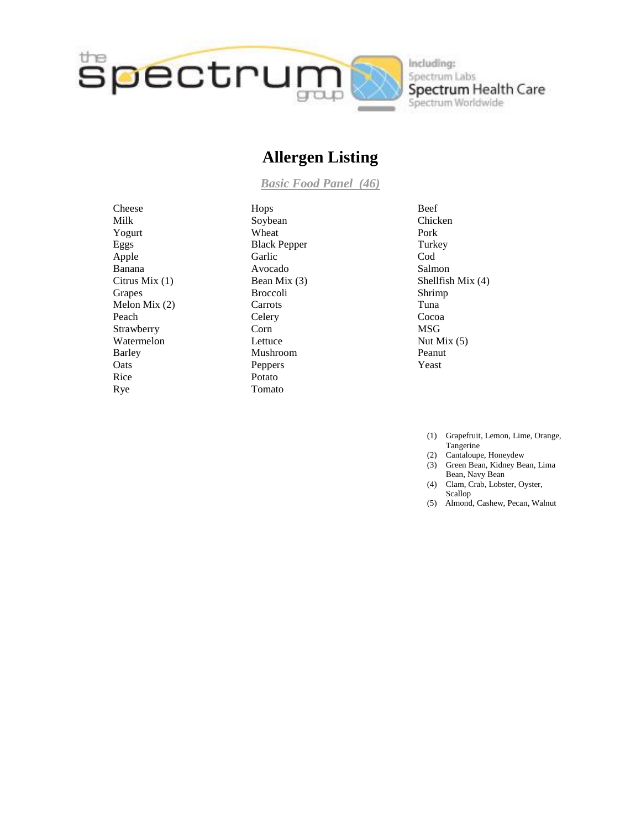

Including: Spectrum Labs Spectrum Health Care<br>Spectrum Worldwide

## **Allergen Listing**

*Basic Food Panel (46)*

Cheese Milk Yogurt Eggs Apple Banana Citrus Mix (1) Grapes Melon Mix (2) Peach Strawberry Watermelon Barley **O**ats Rice Rye

Hops Soybean Wheat Black Pepper Garlic Avocado Bean Mix (3) Broccoli Carrots **Celery** Corn Lettuce Mushroom Peppers Potato Tomato

- Beef Chicken Pork **Turkey** Cod Salmon Shellfish Mix (4) Shrimp Tuna Cocoa MSG Nut Mix (5) Peanut Yeast
	- (1) Grapefruit, Lemon, Lime, Orange, Tangerine
	- (2) Cantaloupe, Honeydew
	- (3) Green Bean, Kidney Bean, Lima Bean, Navy Bean
	- (4) Clam, Crab, Lobster, Oyster, Scallop
	- (5) Almond, Cashew, Pecan, Walnut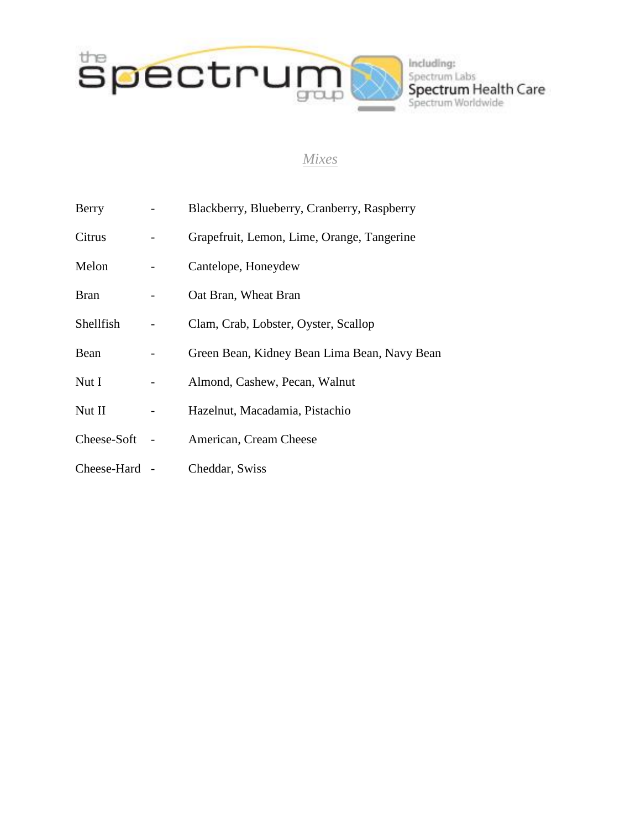

# Including: Spectrum Labs<br>Spectrum Health Care<br>Spectrum Worldwide

#### *Mixes*

| Berry         | Blackberry, Blueberry, Cranberry, Raspberry  |
|---------------|----------------------------------------------|
| Citrus        | Grapefruit, Lemon, Lime, Orange, Tangerine   |
| Melon         | Cantelope, Honeydew                          |
| <b>Bran</b>   | Oat Bran, Wheat Bran                         |
| Shellfish     | Clam, Crab, Lobster, Oyster, Scallop         |
| Bean          | Green Bean, Kidney Bean Lima Bean, Navy Bean |
| Nut I         | Almond, Cashew, Pecan, Walnut                |
| Nut II        | Hazelnut, Macadamia, Pistachio               |
| Cheese-Soft   | American, Cream Cheese                       |
| Cheese-Hard - | Cheddar, Swiss                               |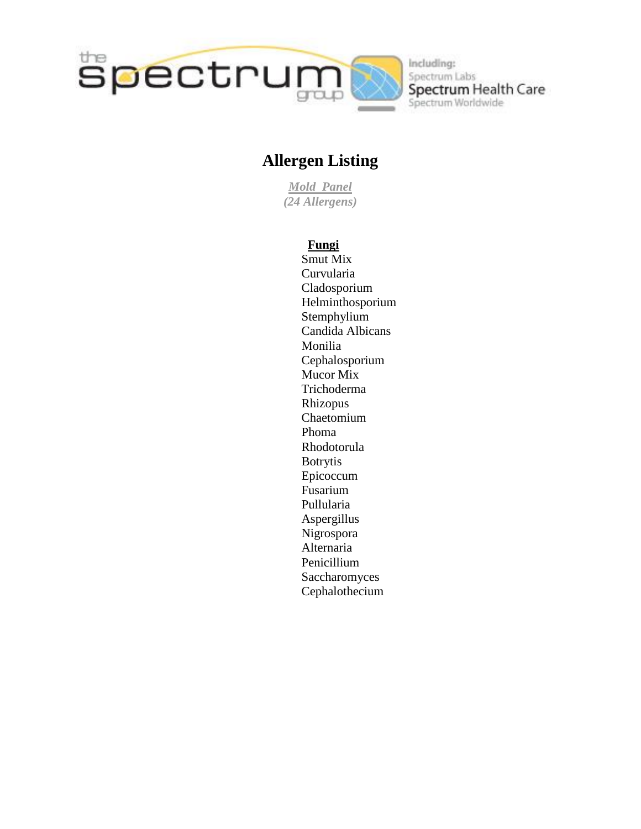

Including: Spectrum Labs Spectrum Health Care Spectrum Worldwide

## **Allergen Listing**

*Mold Panel (24 Allergens)*

#### **Fungi**

Smut Mix Curvularia Cladosporium Helminthosporium Stemphylium Candida Albicans Monilia Cephalosporium Mucor Mix Trichoderma Rhizopus Chaetomium Phoma Rhodotorula Botrytis Epicoccum Fusarium Pullularia Aspergillus Nigrospora Alternaria Penicillium **Saccharomyces** Cephalothecium